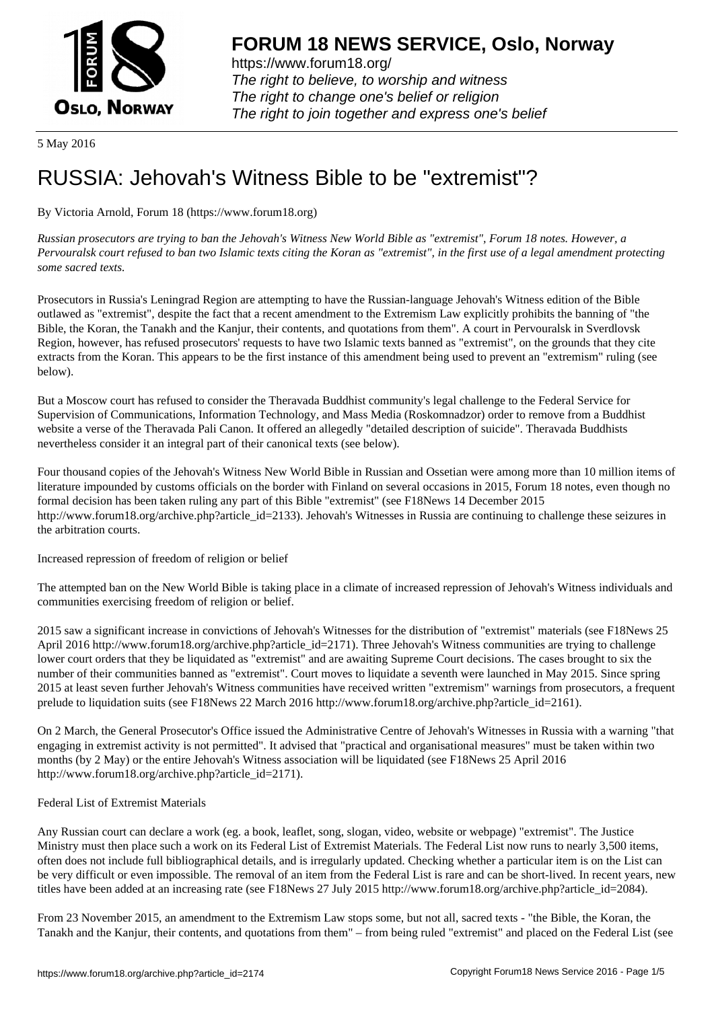

https://www.forum18.org/ The right to believe, to worship and witness The right to change one's belief or religion [The right to join together a](https://www.forum18.org/)nd express one's belief

5 May 2016

## [RUSSIA: Jehov](https://www.forum18.org)ah's Witness Bible to be "extremist"?

By Victoria Arnold, Forum 18 (https://www.forum18.org)

*Russian prosecutors are trying to ban the Jehovah's Witness New World Bible as "extremist", Forum 18 notes. However, a Pervouralsk court refused to ban two Islamic texts citing the Koran as "extremist", in the first use of a legal amendment protecting some sacred texts.*

Prosecutors in Russia's Leningrad Region are attempting to have the Russian-language Jehovah's Witness edition of the Bible outlawed as "extremist", despite the fact that a recent amendment to the Extremism Law explicitly prohibits the banning of "the Bible, the Koran, the Tanakh and the Kanjur, their contents, and quotations from them". A court in Pervouralsk in Sverdlovsk Region, however, has refused prosecutors' requests to have two Islamic texts banned as "extremist", on the grounds that they cite extracts from the Koran. This appears to be the first instance of this amendment being used to prevent an "extremism" ruling (see below).

But a Moscow court has refused to consider the Theravada Buddhist community's legal challenge to the Federal Service for Supervision of Communications, Information Technology, and Mass Media (Roskomnadzor) order to remove from a Buddhist website a verse of the Theravada Pali Canon. It offered an allegedly "detailed description of suicide". Theravada Buddhists nevertheless consider it an integral part of their canonical texts (see below).

Four thousand copies of the Jehovah's Witness New World Bible in Russian and Ossetian were among more than 10 million items of literature impounded by customs officials on the border with Finland on several occasions in 2015, Forum 18 notes, even though no formal decision has been taken ruling any part of this Bible "extremist" (see F18News 14 December 2015 http://www.forum18.org/archive.php?article\_id=2133). Jehovah's Witnesses in Russia are continuing to challenge these seizures in the arbitration courts.

Increased repression of freedom of religion or belief

The attempted ban on the New World Bible is taking place in a climate of increased repression of Jehovah's Witness individuals and communities exercising freedom of religion or belief.

2015 saw a significant increase in convictions of Jehovah's Witnesses for the distribution of "extremist" materials (see F18News 25 April 2016 http://www.forum18.org/archive.php?article\_id=2171). Three Jehovah's Witness communities are trying to challenge lower court orders that they be liquidated as "extremist" and are awaiting Supreme Court decisions. The cases brought to six the number of their communities banned as "extremist". Court moves to liquidate a seventh were launched in May 2015. Since spring 2015 at least seven further Jehovah's Witness communities have received written "extremism" warnings from prosecutors, a frequent prelude to liquidation suits (see F18News 22 March 2016 http://www.forum18.org/archive.php?article\_id=2161).

On 2 March, the General Prosecutor's Office issued the Administrative Centre of Jehovah's Witnesses in Russia with a warning "that engaging in extremist activity is not permitted". It advised that "practical and organisational measures" must be taken within two months (by 2 May) or the entire Jehovah's Witness association will be liquidated (see F18News 25 April 2016 http://www.forum18.org/archive.php?article\_id=2171).

## Federal List of Extremist Materials

Any Russian court can declare a work (eg. a book, leaflet, song, slogan, video, website or webpage) "extremist". The Justice Ministry must then place such a work on its Federal List of Extremist Materials. The Federal List now runs to nearly 3,500 items, often does not include full bibliographical details, and is irregularly updated. Checking whether a particular item is on the List can be very difficult or even impossible. The removal of an item from the Federal List is rare and can be short-lived. In recent years, new titles have been added at an increasing rate (see F18News 27 July 2015 http://www.forum18.org/archive.php?article\_id=2084).

From 23 November 2015, an amendment to the Extremism Law stops some, but not all, sacred texts - "the Bible, the Koran, the Tanakh and the Kanjur, their contents, and quotations from them" – from being ruled "extremist" and placed on the Federal List (see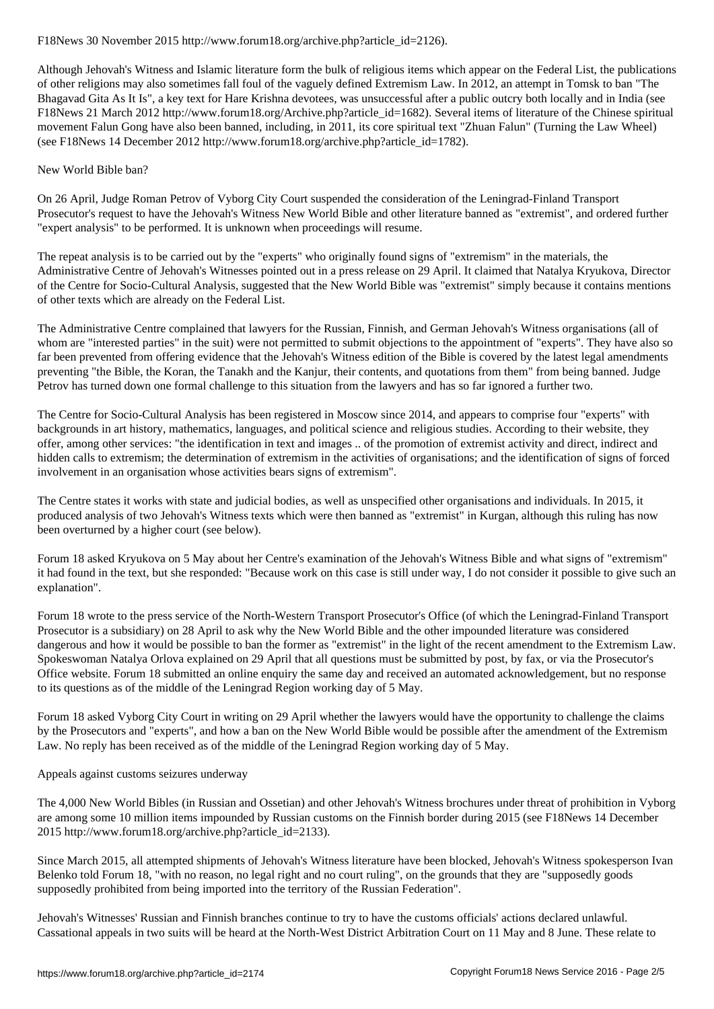Although Jehovah's Witness and Islamic literature form the bulk of religious items which appear on the Federal List, the publications of other religions may also sometimes fall foul of the vaguely defined Extremism Law. In 2012, an attempt in Tomsk to ban "The Bhagavad Gita As It Is", a key text for Hare Krishna devotees, was unsuccessful after a public outcry both locally and in India (see F18News 21 March 2012 http://www.forum18.org/Archive.php?article\_id=1682). Several items of literature of the Chinese spiritual movement Falun Gong have also been banned, including, in 2011, its core spiritual text "Zhuan Falun" (Turning the Law Wheel) (see F18News 14 December 2012 http://www.forum18.org/archive.php?article\_id=1782).

## New World Bible ban?

On 26 April, Judge Roman Petrov of Vyborg City Court suspended the consideration of the Leningrad-Finland Transport Prosecutor's request to have the Jehovah's Witness New World Bible and other literature banned as "extremist", and ordered further "expert analysis" to be performed. It is unknown when proceedings will resume.

The repeat analysis is to be carried out by the "experts" who originally found signs of "extremism" in the materials, the Administrative Centre of Jehovah's Witnesses pointed out in a press release on 29 April. It claimed that Natalya Kryukova, Director of the Centre for Socio-Cultural Analysis, suggested that the New World Bible was "extremist" simply because it contains mentions of other texts which are already on the Federal List.

The Administrative Centre complained that lawyers for the Russian, Finnish, and German Jehovah's Witness organisations (all of whom are "interested parties" in the suit) were not permitted to submit objections to the appointment of "experts". They have also so far been prevented from offering evidence that the Jehovah's Witness edition of the Bible is covered by the latest legal amendments preventing "the Bible, the Koran, the Tanakh and the Kanjur, their contents, and quotations from them" from being banned. Judge Petrov has turned down one formal challenge to this situation from the lawyers and has so far ignored a further two.

The Centre for Socio-Cultural Analysis has been registered in Moscow since 2014, and appears to comprise four "experts" with backgrounds in art history, mathematics, languages, and political science and religious studies. According to their website, they offer, among other services: "the identification in text and images .. of the promotion of extremist activity and direct, indirect and hidden calls to extremism; the determination of extremism in the activities of organisations; and the identification of signs of forced involvement in an organisation whose activities bears signs of extremism".

The Centre states it works with state and judicial bodies, as well as unspecified other organisations and individuals. In 2015, it produced analysis of two Jehovah's Witness texts which were then banned as "extremist" in Kurgan, although this ruling has now been overturned by a higher court (see below).

Forum 18 asked Kryukova on 5 May about her Centre's examination of the Jehovah's Witness Bible and what signs of "extremism" it had found in the text, but she responded: "Because work on this case is still under way, I do not consider it possible to give such an explanation".

Forum 18 wrote to the press service of the North-Western Transport Prosecutor's Office (of which the Leningrad-Finland Transport Prosecutor is a subsidiary) on 28 April to ask why the New World Bible and the other impounded literature was considered dangerous and how it would be possible to ban the former as "extremist" in the light of the recent amendment to the Extremism Law. Spokeswoman Natalya Orlova explained on 29 April that all questions must be submitted by post, by fax, or via the Prosecutor's Office website. Forum 18 submitted an online enquiry the same day and received an automated acknowledgement, but no response to its questions as of the middle of the Leningrad Region working day of 5 May.

Forum 18 asked Vyborg City Court in writing on 29 April whether the lawyers would have the opportunity to challenge the claims by the Prosecutors and "experts", and how a ban on the New World Bible would be possible after the amendment of the Extremism Law. No reply has been received as of the middle of the Leningrad Region working day of 5 May.

## Appeals against customs seizures underway

The 4,000 New World Bibles (in Russian and Ossetian) and other Jehovah's Witness brochures under threat of prohibition in Vyborg are among some 10 million items impounded by Russian customs on the Finnish border during 2015 (see F18News 14 December 2015 http://www.forum18.org/archive.php?article\_id=2133).

Since March 2015, all attempted shipments of Jehovah's Witness literature have been blocked, Jehovah's Witness spokesperson Ivan Belenko told Forum 18, "with no reason, no legal right and no court ruling", on the grounds that they are "supposedly goods supposedly prohibited from being imported into the territory of the Russian Federation".

Jehovah's Witnesses' Russian and Finnish branches continue to try to have the customs officials' actions declared unlawful. Cassational appeals in two suits will be heard at the North-West District Arbitration Court on 11 May and 8 June. These relate to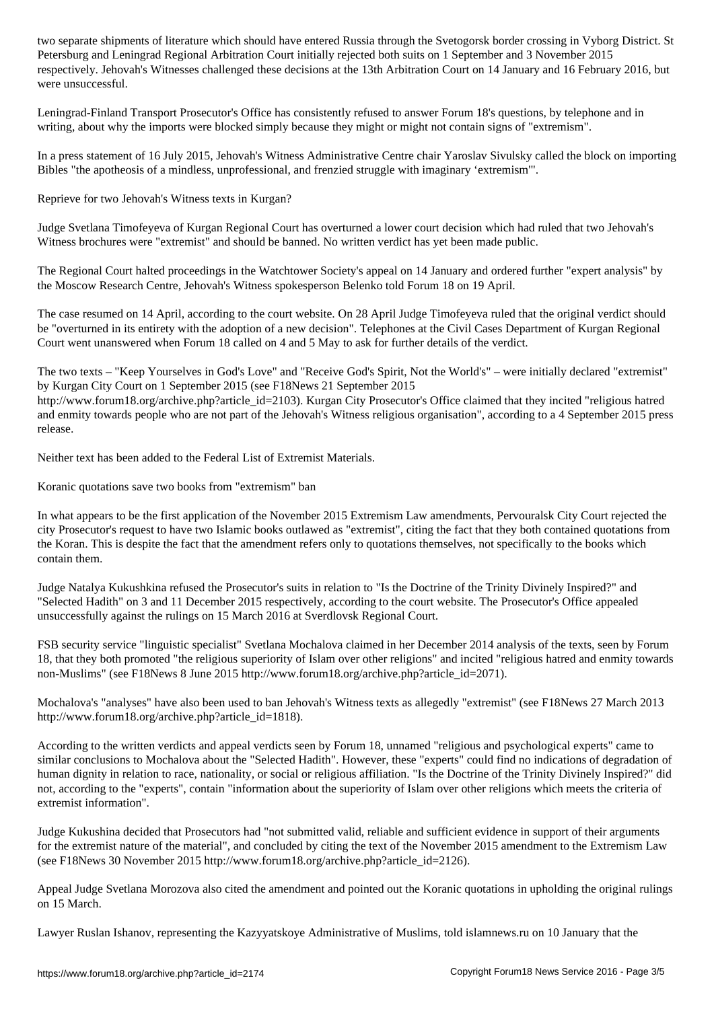Petersburg and Leningrad Regional Arbitration Court initially rejected both suits on 1 September and 3 November 2015 respectively. Jehovah's Witnesses challenged these decisions at the 13th Arbitration Court on 14 January and 16 February 2016, but were unsuccessful.

Leningrad-Finland Transport Prosecutor's Office has consistently refused to answer Forum 18's questions, by telephone and in writing, about why the imports were blocked simply because they might or might not contain signs of "extremism".

In a press statement of 16 July 2015, Jehovah's Witness Administrative Centre chair Yaroslav Sivulsky called the block on importing Bibles "the apotheosis of a mindless, unprofessional, and frenzied struggle with imaginary 'extremism'".

Reprieve for two Jehovah's Witness texts in Kurgan?

Judge Svetlana Timofeyeva of Kurgan Regional Court has overturned a lower court decision which had ruled that two Jehovah's Witness brochures were "extremist" and should be banned. No written verdict has yet been made public.

The Regional Court halted proceedings in the Watchtower Society's appeal on 14 January and ordered further "expert analysis" by the Moscow Research Centre, Jehovah's Witness spokesperson Belenko told Forum 18 on 19 April.

The case resumed on 14 April, according to the court website. On 28 April Judge Timofeyeva ruled that the original verdict should be "overturned in its entirety with the adoption of a new decision". Telephones at the Civil Cases Department of Kurgan Regional Court went unanswered when Forum 18 called on 4 and 5 May to ask for further details of the verdict.

The two texts – "Keep Yourselves in God's Love" and "Receive God's Spirit, Not the World's" – were initially declared "extremist" by Kurgan City Court on 1 September 2015 (see F18News 21 September 2015 http://www.forum18.org/archive.php?article\_id=2103). Kurgan City Prosecutor's Office claimed that they incited "religious hatred and enmity towards people who are not part of the Jehovah's Witness religious organisation", according to a 4 September 2015 press

Neither text has been added to the Federal List of Extremist Materials.

Koranic quotations save two books from "extremism" ban

release.

In what appears to be the first application of the November 2015 Extremism Law amendments, Pervouralsk City Court rejected the city Prosecutor's request to have two Islamic books outlawed as "extremist", citing the fact that they both contained quotations from the Koran. This is despite the fact that the amendment refers only to quotations themselves, not specifically to the books which contain them.

Judge Natalya Kukushkina refused the Prosecutor's suits in relation to "Is the Doctrine of the Trinity Divinely Inspired?" and "Selected Hadith" on 3 and 11 December 2015 respectively, according to the court website. The Prosecutor's Office appealed unsuccessfully against the rulings on 15 March 2016 at Sverdlovsk Regional Court.

FSB security service "linguistic specialist" Svetlana Mochalova claimed in her December 2014 analysis of the texts, seen by Forum 18, that they both promoted "the religious superiority of Islam over other religions" and incited "religious hatred and enmity towards non-Muslims" (see F18News 8 June 2015 http://www.forum18.org/archive.php?article\_id=2071).

Mochalova's "analyses" have also been used to ban Jehovah's Witness texts as allegedly "extremist" (see F18News 27 March 2013 http://www.forum18.org/archive.php?article\_id=1818).

According to the written verdicts and appeal verdicts seen by Forum 18, unnamed "religious and psychological experts" came to similar conclusions to Mochalova about the "Selected Hadith". However, these "experts" could find no indications of degradation of human dignity in relation to race, nationality, or social or religious affiliation. "Is the Doctrine of the Trinity Divinely Inspired?" did not, according to the "experts", contain "information about the superiority of Islam over other religions which meets the criteria of extremist information".

Judge Kukushina decided that Prosecutors had "not submitted valid, reliable and sufficient evidence in support of their arguments for the extremist nature of the material", and concluded by citing the text of the November 2015 amendment to the Extremism Law (see F18News 30 November 2015 http://www.forum18.org/archive.php?article\_id=2126).

Appeal Judge Svetlana Morozova also cited the amendment and pointed out the Koranic quotations in upholding the original rulings on 15 March.

Lawyer Ruslan Ishanov, representing the Kazyyatskoye Administrative of Muslims, told islamnews.ru on 10 January that the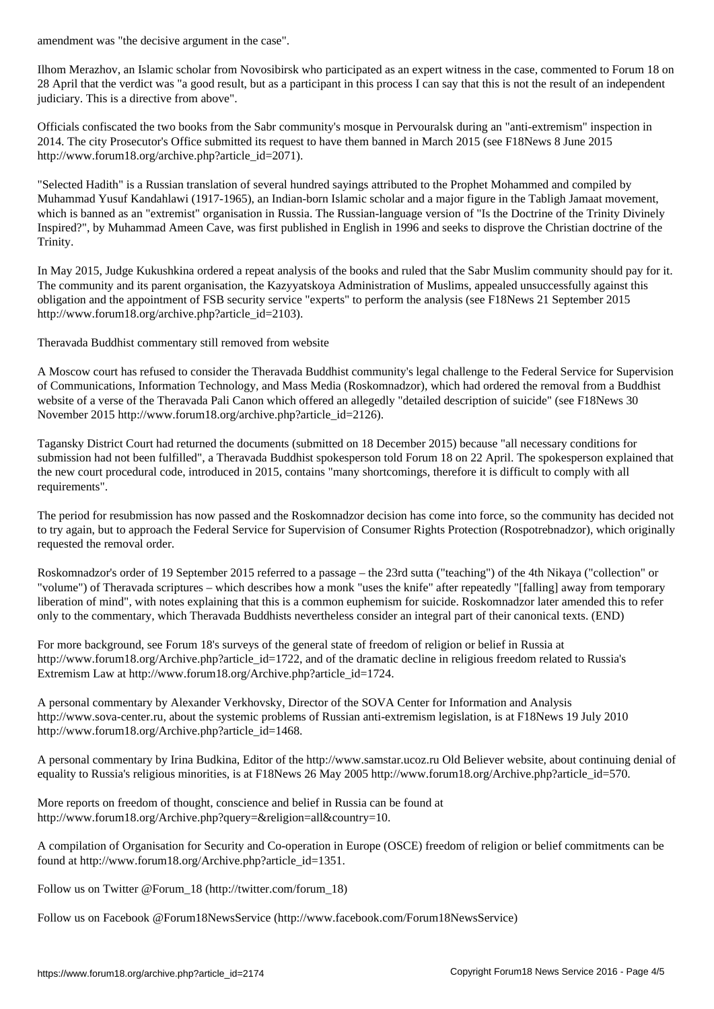Ilhom Merazhov, an Islamic scholar from Novosibirsk who participated as an expert witness in the case, commented to Forum 18 on 28 April that the verdict was "a good result, but as a participant in this process I can say that this is not the result of an independent judiciary. This is a directive from above".

Officials confiscated the two books from the Sabr community's mosque in Pervouralsk during an "anti-extremism" inspection in 2014. The city Prosecutor's Office submitted its request to have them banned in March 2015 (see F18News 8 June 2015 http://www.forum18.org/archive.php?article\_id=2071).

"Selected Hadith" is a Russian translation of several hundred sayings attributed to the Prophet Mohammed and compiled by Muhammad Yusuf Kandahlawi (1917-1965), an Indian-born Islamic scholar and a major figure in the Tabligh Jamaat movement, which is banned as an "extremist" organisation in Russia. The Russian-language version of "Is the Doctrine of the Trinity Divinely Inspired?", by Muhammad Ameen Cave, was first published in English in 1996 and seeks to disprove the Christian doctrine of the Trinity.

In May 2015, Judge Kukushkina ordered a repeat analysis of the books and ruled that the Sabr Muslim community should pay for it. The community and its parent organisation, the Kazyyatskoya Administration of Muslims, appealed unsuccessfully against this obligation and the appointment of FSB security service "experts" to perform the analysis (see F18News 21 September 2015 http://www.forum18.org/archive.php?article\_id=2103).

Theravada Buddhist commentary still removed from website

A Moscow court has refused to consider the Theravada Buddhist community's legal challenge to the Federal Service for Supervision of Communications, Information Technology, and Mass Media (Roskomnadzor), which had ordered the removal from a Buddhist website of a verse of the Theravada Pali Canon which offered an allegedly "detailed description of suicide" (see F18News 30 November 2015 http://www.forum18.org/archive.php?article\_id=2126).

Tagansky District Court had returned the documents (submitted on 18 December 2015) because "all necessary conditions for submission had not been fulfilled", a Theravada Buddhist spokesperson told Forum 18 on 22 April. The spokesperson explained that the new court procedural code, introduced in 2015, contains "many shortcomings, therefore it is difficult to comply with all requirements".

The period for resubmission has now passed and the Roskomnadzor decision has come into force, so the community has decided not to try again, but to approach the Federal Service for Supervision of Consumer Rights Protection (Rospotrebnadzor), which originally requested the removal order.

Roskomnadzor's order of 19 September 2015 referred to a passage – the 23rd sutta ("teaching") of the 4th Nikaya ("collection" or "volume") of Theravada scriptures – which describes how a monk "uses the knife" after repeatedly "[falling] away from temporary liberation of mind", with notes explaining that this is a common euphemism for suicide. Roskomnadzor later amended this to refer only to the commentary, which Theravada Buddhists nevertheless consider an integral part of their canonical texts. (END)

For more background, see Forum 18's surveys of the general state of freedom of religion or belief in Russia at http://www.forum18.org/Archive.php?article\_id=1722, and of the dramatic decline in religious freedom related to Russia's Extremism Law at http://www.forum18.org/Archive.php?article\_id=1724.

A personal commentary by Alexander Verkhovsky, Director of the SOVA Center for Information and Analysis http://www.sova-center.ru, about the systemic problems of Russian anti-extremism legislation, is at F18News 19 July 2010 http://www.forum18.org/Archive.php?article\_id=1468.

A personal commentary by Irina Budkina, Editor of the http://www.samstar.ucoz.ru Old Believer website, about continuing denial of equality to Russia's religious minorities, is at F18News 26 May 2005 http://www.forum18.org/Archive.php?article\_id=570.

More reports on freedom of thought, conscience and belief in Russia can be found at http://www.forum18.org/Archive.php?query=&religion=all&country=10.

A compilation of Organisation for Security and Co-operation in Europe (OSCE) freedom of religion or belief commitments can be found at http://www.forum18.org/Archive.php?article\_id=1351.

Follow us on Twitter @Forum\_18 (http://twitter.com/forum\_18)

Follow us on Facebook @Forum18NewsService (http://www.facebook.com/Forum18NewsService)